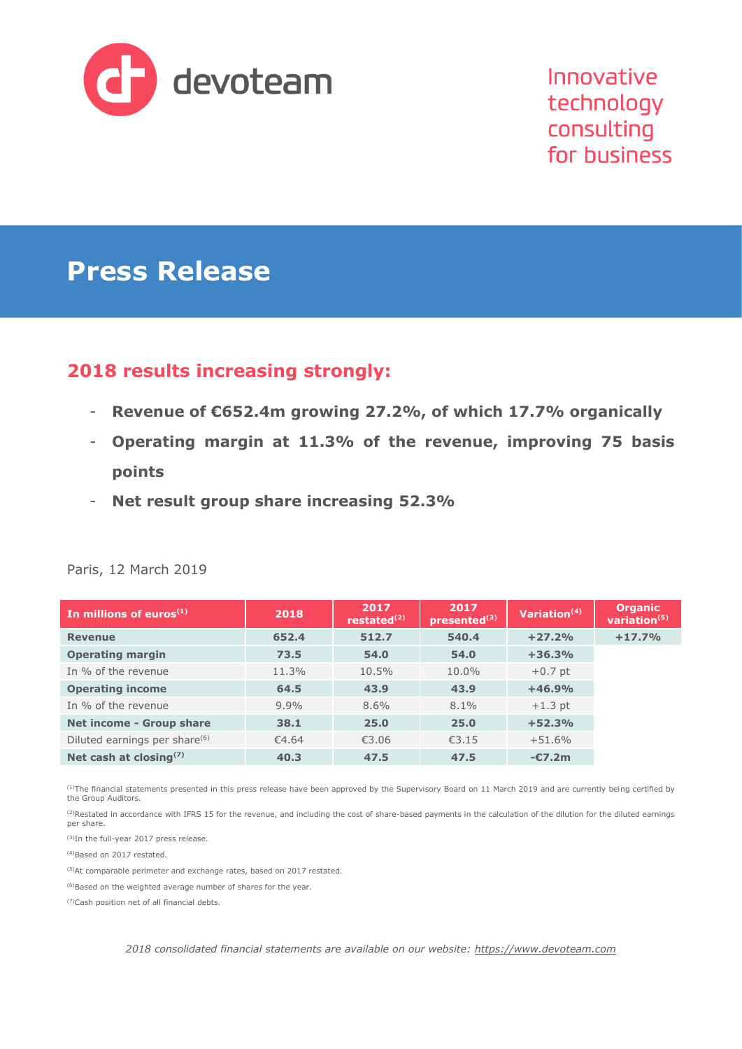

# **Press Release**

## **2018 results increasing strongly:**

- **Revenue of €652.4m growing 27.2%, of which 17.7% organically**
- **Operating margin at 11.3% of the revenue, improving 75 basis points**
- **Net result group share increasing 52.3%**

| In millions of euros $(1)$                | 2018    | 2017<br>restated $(2)$ | 2017<br>presented <sup>(3)</sup> | Variation $(4)$ |  |
|-------------------------------------------|---------|------------------------|----------------------------------|-----------------|--|
| <b>Revenue</b>                            | 652.4   | 512.7                  | 540.4                            | $+27.2%$        |  |
| <b>Operating margin</b>                   | 73.5    | 54.0                   | 54.0                             | $+36.3%$        |  |
| In % of the revenue                       | 11.3%   | 10.5%                  | 10.0%                            | $+0.7$ pt       |  |
| <b>Operating income</b>                   | 64.5    | 43.9                   | 43.9                             | $+46.9%$        |  |
| In % of the revenue                       | $9.9\%$ | 8.6%                   | $8.1\%$                          | $+1.3$ pt       |  |
| Net income - Group share                  | 38.1    | 25.0                   | 25.0                             | $+52.3%$        |  |
| Diluted earnings per share <sup>(6)</sup> | €4.64   | €3.06                  | £3.15                            | $+51.6%$        |  |
| Net cash at closing $(7)$                 | 40.3    | 47.5                   | 47.5                             | $-C7.2m$        |  |

#### Paris, 12 March 2019

(1)The financial statements presented in this press release have been approved by the Supervisory Board on 11 March 2019 and are currently being certified by the Group Auditors.

<sup>(2)</sup>Restated in accordance with IFRS 15 for the revenue, and including the cost of share-based payments in the calculation of the dilution for the diluted earnings per share.

(3)In the full-year 2017 press release.

(4)Based on 2017 restated.

(5)At comparable perimeter and exchange rates, based on 2017 restated.

(6)Based on the weighted average number of shares for the year.

(7)Cash position net of all financial debts.

*2018 consolidated financial statements are available on our website: [https://www.devoteam.com](https://www.devoteam.com/)*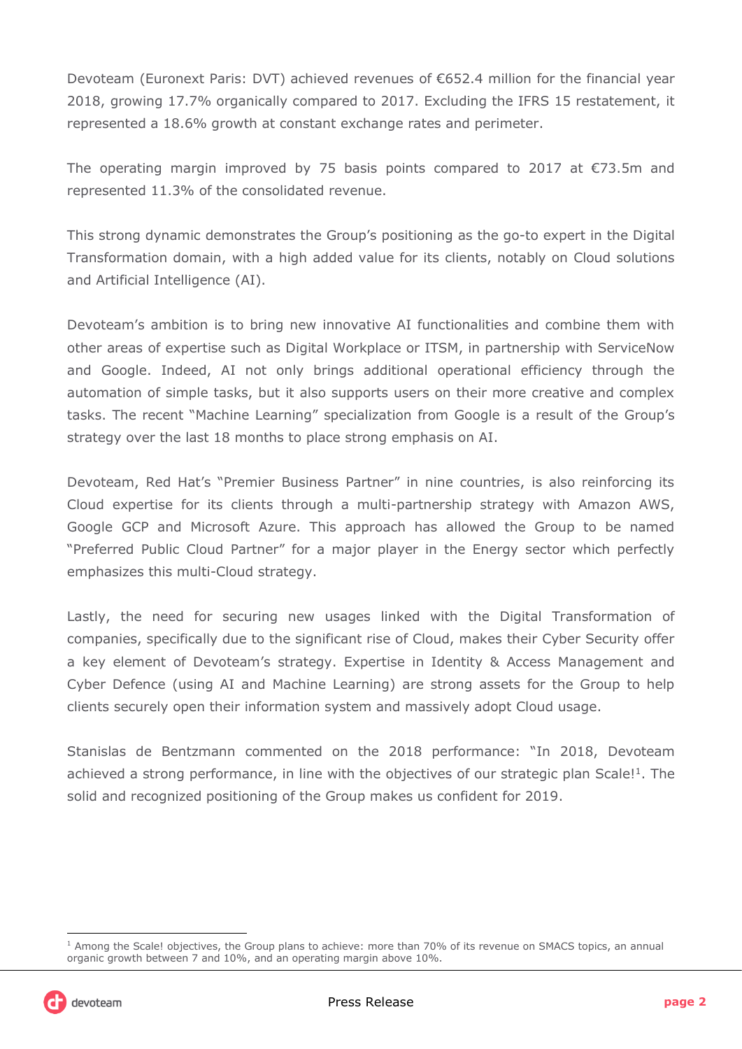Devoteam (Euronext Paris: DVT) achieved revenues of €652.4 million for the financial year 2018, growing 17.7% organically compared to 2017. Excluding the IFRS 15 restatement, it represented a 18.6% growth at constant exchange rates and perimeter.

The operating margin improved by 75 basis points compared to 2017 at  $\epsilon$ 73.5m and represented 11.3% of the consolidated revenue.

This strong dynamic demonstrates the Group's positioning as the go-to expert in the Digital Transformation domain, with a high added value for its clients, notably on Cloud solutions and Artificial Intelligence (AI).

Devoteam's ambition is to bring new innovative AI functionalities and combine them with other areas of expertise such as Digital Workplace or ITSM, in partnership with ServiceNow and Google. Indeed, AI not only brings additional operational efficiency through the automation of simple tasks, but it also supports users on their more creative and complex tasks. The recent "Machine Learning" specialization from Google is a result of the Group's strategy over the last 18 months to place strong emphasis on AI.

Devoteam, Red Hat's "Premier Business Partner" in nine countries, is also reinforcing its Cloud expertise for its clients through a multi-partnership strategy with Amazon AWS, Google GCP and Microsoft Azure. This approach has allowed the Group to be named "Preferred Public Cloud Partner" for a major player in the Energy sector which perfectly emphasizes this multi-Cloud strategy.

Lastly, the need for securing new usages linked with the Digital Transformation of companies, specifically due to the significant rise of Cloud, makes their Cyber Security offer a key element of Devoteam's strategy. Expertise in Identity & Access Management and Cyber Defence (using AI and Machine Learning) are strong assets for the Group to help clients securely open their information system and massively adopt Cloud usage.

Stanislas de Bentzmann commented on the 2018 performance: "In 2018, Devoteam achieved a strong performance, in line with the objectives of our strategic plan Scale!<sup>1</sup>. The solid and recognized positioning of the Group makes us confident for 2019.

j

<sup>&</sup>lt;sup>1</sup> Among the Scale! objectives, the Group plans to achieve: more than 70% of its revenue on SMACS topics, an annual organic growth between 7 and 10%, and an operating margin above 10%.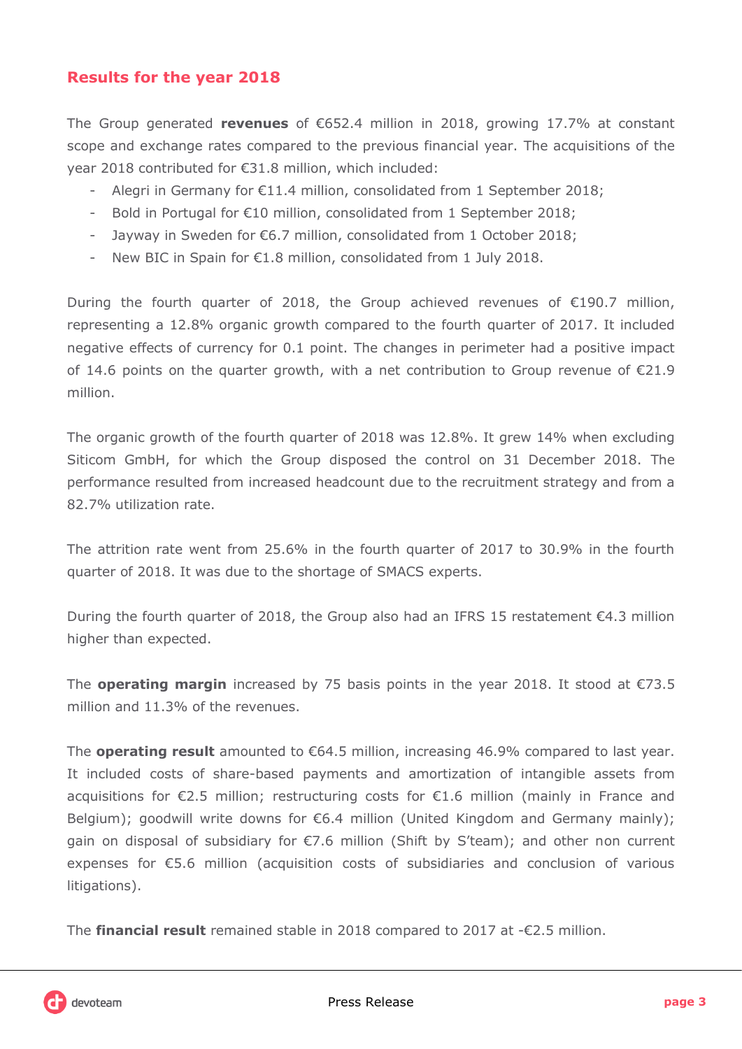## **Results for the year 2018**

The Group generated **revenues** of €652.4 million in 2018, growing 17.7% at constant scope and exchange rates compared to the previous financial year. The acquisitions of the year 2018 contributed for €31.8 million, which included:

- Alegri in Germany for €11.4 million, consolidated from 1 September 2018;
- Bold in Portugal for €10 million, consolidated from 1 September 2018;
- Jayway in Sweden for €6.7 million, consolidated from 1 October 2018;
- New BIC in Spain for €1.8 million, consolidated from 1 July 2018.

During the fourth quarter of 2018, the Group achieved revenues of €190.7 million, representing a 12.8% organic growth compared to the fourth quarter of 2017. It included negative effects of currency for 0.1 point. The changes in perimeter had a positive impact of 14.6 points on the quarter growth, with a net contribution to Group revenue of €21.9 million.

The organic growth of the fourth quarter of 2018 was 12.8%. It grew 14% when excluding Siticom GmbH, for which the Group disposed the control on 31 December 2018. The performance resulted from increased headcount due to the recruitment strategy and from a 82.7% utilization rate.

The attrition rate went from 25.6% in the fourth quarter of 2017 to 30.9% in the fourth quarter of 2018. It was due to the shortage of SMACS experts.

During the fourth quarter of 2018, the Group also had an IFRS 15 restatement €4.3 million higher than expected.

The **operating margin** increased by 75 basis points in the year 2018. It stood at €73.5 million and 11.3% of the revenues.

The **operating result** amounted to €64.5 million, increasing 46.9% compared to last year. It included costs of share-based payments and amortization of intangible assets from acquisitions for €2.5 million; restructuring costs for €1.6 million (mainly in France and Belgium); goodwill write downs for €6.4 million (United Kingdom and Germany mainly); gain on disposal of subsidiary for €7.6 million (Shift by S'team); and other non current expenses for €5.6 million (acquisition costs of subsidiaries and conclusion of various litigations).

The **financial result** remained stable in 2018 compared to 2017 at -€2.5 million.

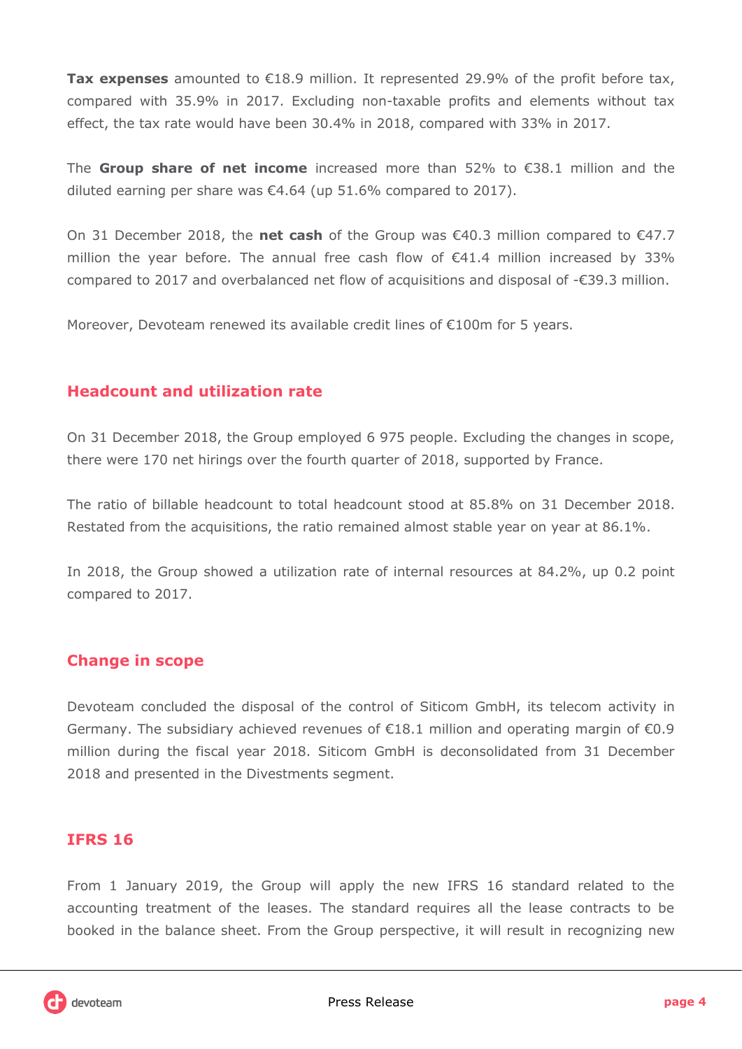**Tax expenses** amounted to €18.9 million. It represented 29.9% of the profit before tax, compared with 35.9% in 2017. Excluding non-taxable profits and elements without tax effect, the tax rate would have been 30.4% in 2018, compared with 33% in 2017.

The **Group share of net income** increased more than 52% to €38.1 million and the diluted earning per share was €4.64 (up 51.6% compared to 2017).

On 31 December 2018, the **net cash** of the Group was €40.3 million compared to €47.7 million the year before. The annual free cash flow of  $\epsilon$ 41.4 million increased by 33% compared to 2017 and overbalanced net flow of acquisitions and disposal of -€39.3 million.

Moreover, Devoteam renewed its available credit lines of €100m for 5 years.

### **Headcount and utilization rate**

On 31 December 2018, the Group employed 6 975 people. Excluding the changes in scope, there were 170 net hirings over the fourth quarter of 2018, supported by France.

The ratio of billable headcount to total headcount stood at 85.8% on 31 December 2018. Restated from the acquisitions, the ratio remained almost stable year on year at 86.1%.

In 2018, the Group showed a utilization rate of internal resources at 84.2%, up 0.2 point compared to 2017.

### **Change in scope**

Devoteam concluded the disposal of the control of Siticom GmbH, its telecom activity in Germany. The subsidiary achieved revenues of  $\epsilon$ 18.1 million and operating margin of  $\epsilon$ 0.9 million during the fiscal year 2018. Siticom GmbH is deconsolidated from 31 December 2018 and presented in the Divestments segment.

### **IFRS 16**

From 1 January 2019, the Group will apply the new IFRS 16 standard related to the accounting treatment of the leases. The standard requires all the lease contracts to be booked in the balance sheet. From the Group perspective, it will result in recognizing new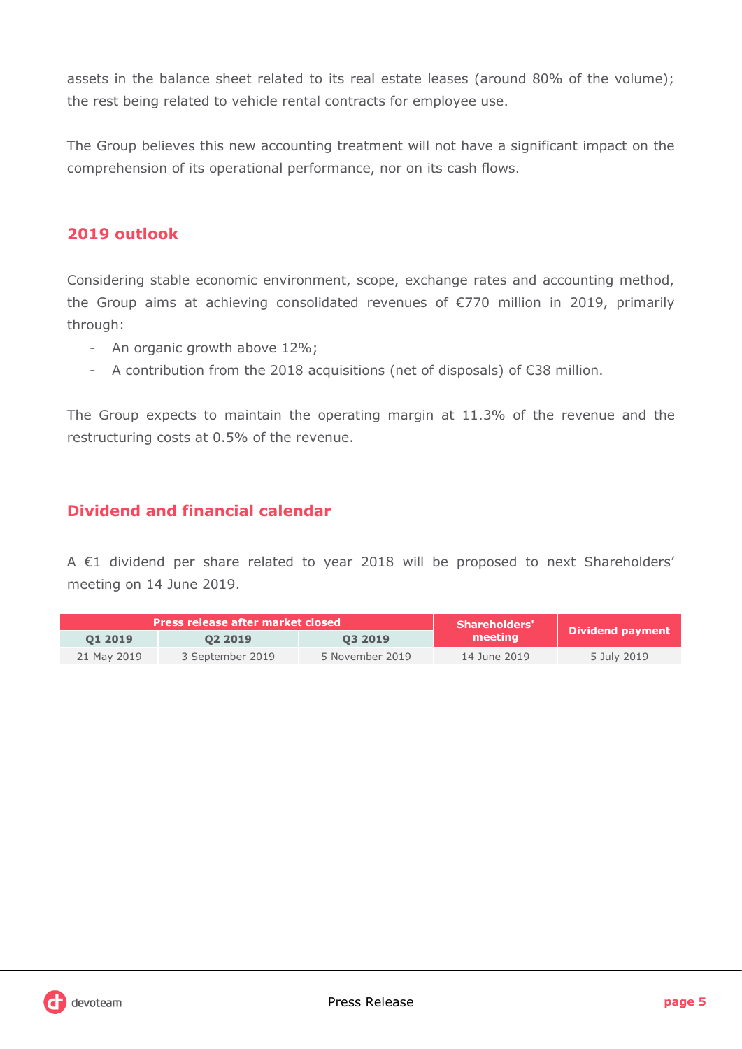assets in the balance sheet related to its real estate leases (around 80% of the volume); the rest being related to vehicle rental contracts for employee use.

The Group believes this new accounting treatment will not have a significant impact on the comprehension of its operational performance, nor on its cash flows.

## **2019 outlook**

Considering stable economic environment, scope, exchange rates and accounting method, the Group aims at achieving consolidated revenues of €770 million in 2019, primarily through:

- An organic growth above 12%;
- A contribution from the 2018 acquisitions (net of disposals) of €38 million.

The Group expects to maintain the operating margin at 11.3% of the revenue and the restructuring costs at 0.5% of the revenue.

## **Dividend and financial calendar**

A €1 dividend per share related to year 2018 will be proposed to next Shareholders' meeting on 14 June 2019.

|             | <b>Press release after market closed</b> | <b>Shareholders'</b> |              |                         |
|-------------|------------------------------------------|----------------------|--------------|-------------------------|
| 01 2019     | 02 2019                                  | 03 2019              | meeting      | <b>Dividend payment</b> |
| 21 May 2019 | 3 September 2019                         | 5 November 2019      | 14 June 2019 | 5 July 2019             |

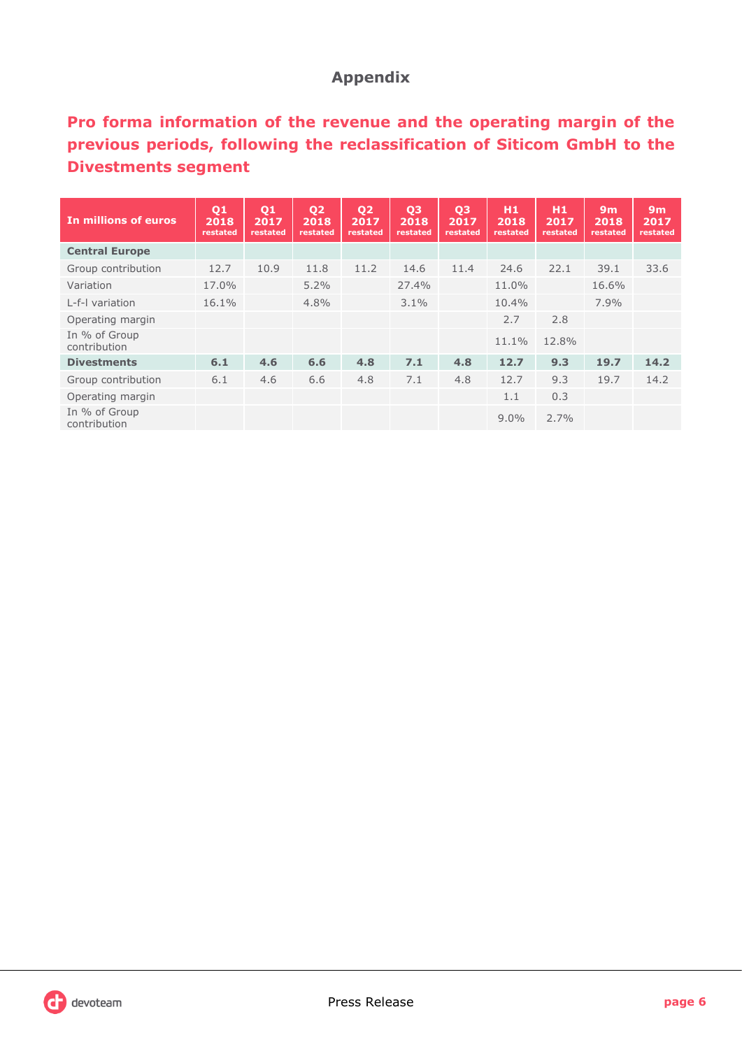## **Appendix**

## **Pro forma information of the revenue and the operating margin of the previous periods, following the reclassification of Siticom GmbH to the Divestments segment**

| In millions of euros          | Q1<br>2018<br>restated | Q1<br>2017<br>restated | 02<br>2018<br>restated | Q <sub>2</sub><br>2017<br>restated | Q <sub>3</sub><br>2018<br>restated | Q <sub>3</sub><br>2017<br>restated | H1<br>2018<br>restated | H <sub>1</sub><br>2017<br>restated | 9m<br>2018<br>restated | 9m<br>2017<br>restated |
|-------------------------------|------------------------|------------------------|------------------------|------------------------------------|------------------------------------|------------------------------------|------------------------|------------------------------------|------------------------|------------------------|
| <b>Central Europe</b>         |                        |                        |                        |                                    |                                    |                                    |                        |                                    |                        |                        |
| Group contribution            | 12.7                   | 10.9                   | 11.8                   | 11.2                               | 14.6                               | 11.4                               | 24.6                   | 22.1                               | 39.1                   | 33.6                   |
| Variation                     | 17.0%                  |                        | 5.2%                   |                                    | 27.4%                              |                                    | 11.0%                  |                                    | 16.6%                  |                        |
| L-f-I variation               | 16.1%                  |                        | 4.8%                   |                                    | 3.1%                               |                                    | 10.4%                  |                                    | 7.9%                   |                        |
| Operating margin              |                        |                        |                        |                                    |                                    |                                    | 2.7                    | 2.8                                |                        |                        |
| In % of Group<br>contribution |                        |                        |                        |                                    |                                    |                                    | 11.1%                  | 12.8%                              |                        |                        |
| <b>Divestments</b>            | 6.1                    | 4.6                    | 6.6                    | 4.8                                | 7.1                                | 4.8                                | 12.7                   | 9.3                                | 19.7                   | 14.2                   |
| Group contribution            | 6.1                    | 4.6                    | 6.6                    | 4.8                                | 7.1                                | 4.8                                | 12.7                   | 9.3                                | 19.7                   | 14.2                   |
| Operating margin              |                        |                        |                        |                                    |                                    |                                    | 1.1                    | 0.3                                |                        |                        |
| In % of Group<br>contribution |                        |                        |                        |                                    |                                    |                                    | $9.0\%$                | 2.7%                               |                        |                        |

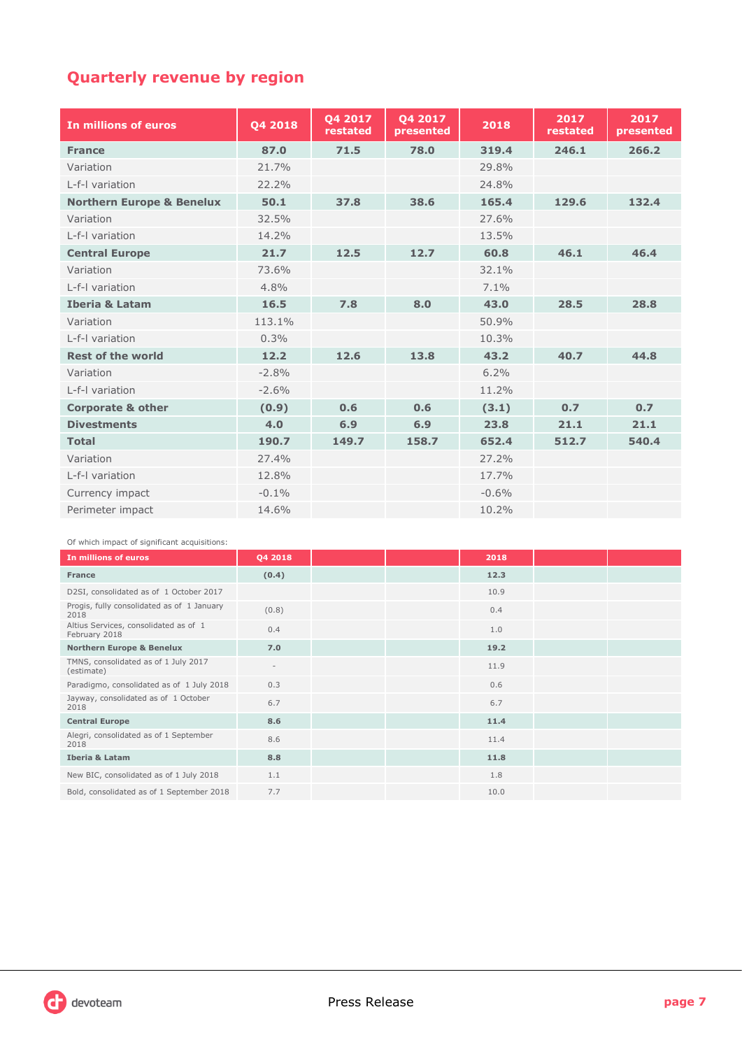## **Quarterly revenue by region**

| In millions of euros                 | Q4 2018 | 04 2017<br>restated | 04 2017<br>presented | 2018    | 2017<br>restated | 2017<br>presented |
|--------------------------------------|---------|---------------------|----------------------|---------|------------------|-------------------|
| <b>France</b>                        | 87.0    | 71.5                | 78.0                 | 319.4   | 246.1            | 266.2             |
| Variation                            | 21.7%   |                     |                      | 29.8%   |                  |                   |
| L-f-I variation                      | 22.2%   |                     |                      | 24.8%   |                  |                   |
| <b>Northern Europe &amp; Benelux</b> | 50.1    | 37.8                | 38.6                 | 165.4   | 129.6            | 132.4             |
| Variation                            | 32.5%   |                     |                      | 27.6%   |                  |                   |
| L-f-I variation                      | 14.2%   |                     |                      | 13.5%   |                  |                   |
| <b>Central Europe</b>                | 21.7    | 12.5                | 12.7                 | 60.8    | 46.1             | 46.4              |
| Variation                            | 73.6%   |                     |                      | 32.1%   |                  |                   |
| L-f-I variation                      | 4.8%    |                     |                      | 7.1%    |                  |                   |
| <b>Iberia &amp; Latam</b>            | 16.5    | 7.8                 | 8.0                  | 43.0    | 28.5             | 28.8              |
| Variation                            | 113.1%  |                     |                      | 50.9%   |                  |                   |
| L-f-I variation                      | 0.3%    |                     |                      | 10.3%   |                  |                   |
| <b>Rest of the world</b>             | 12.2    | 12.6                | 13.8                 | 43.2    | 40.7             | 44.8              |
| Variation                            | $-2.8%$ |                     |                      | 6.2%    |                  |                   |
| L-f-I variation                      | $-2.6%$ |                     |                      | 11.2%   |                  |                   |
| <b>Corporate &amp; other</b>         | (0.9)   | 0.6                 | 0.6                  | (3.1)   | 0.7              | 0.7               |
| <b>Divestments</b>                   | 4.0     | 6.9                 | 6.9                  | 23.8    | 21.1             | 21.1              |
| <b>Total</b>                         | 190.7   | 149.7               | 158.7                | 652.4   | 512.7            | 540.4             |
| Variation                            | 27.4%   |                     |                      | 27.2%   |                  |                   |
| L-f-I variation                      | 12.8%   |                     |                      | 17.7%   |                  |                   |
| Currency impact                      | $-0.1%$ |                     |                      | $-0.6%$ |                  |                   |
| Perimeter impact                     | 14.6%   |                     |                      | 10.2%   |                  |                   |

Of which impact of significant acquisitions:

| In millions of euros                                   | Q4 2018                  |  | 2018 |  |
|--------------------------------------------------------|--------------------------|--|------|--|
| <b>France</b>                                          | (0.4)                    |  | 12.3 |  |
| D2SI, consolidated as of 1 October 2017                |                          |  | 10.9 |  |
| Progis, fully consolidated as of 1 January<br>2018     | (0.8)                    |  | 0.4  |  |
| Altius Services, consolidated as of 1<br>February 2018 | 0.4                      |  | 1.0  |  |
| <b>Northern Europe &amp; Benelux</b>                   | 7.0                      |  | 19.2 |  |
| TMNS, consolidated as of 1 July 2017<br>(estimate)     | $\overline{\phantom{a}}$ |  | 11.9 |  |
| Paradigmo, consolidated as of 1 July 2018              | 0.3                      |  | 0.6  |  |
| Jayway, consolidated as of 1 October<br>2018           | 6.7                      |  | 6.7  |  |
| <b>Central Europe</b>                                  | 8.6                      |  | 11.4 |  |
| Alegri, consolidated as of 1 September<br>2018         | 8.6                      |  | 11.4 |  |
| <b>Iberia &amp; Latam</b>                              | 8.8                      |  | 11.8 |  |
| New BIC, consolidated as of 1 July 2018                | 1.1                      |  | 1.8  |  |
| Bold, consolidated as of 1 September 2018              | 7.7                      |  | 10.0 |  |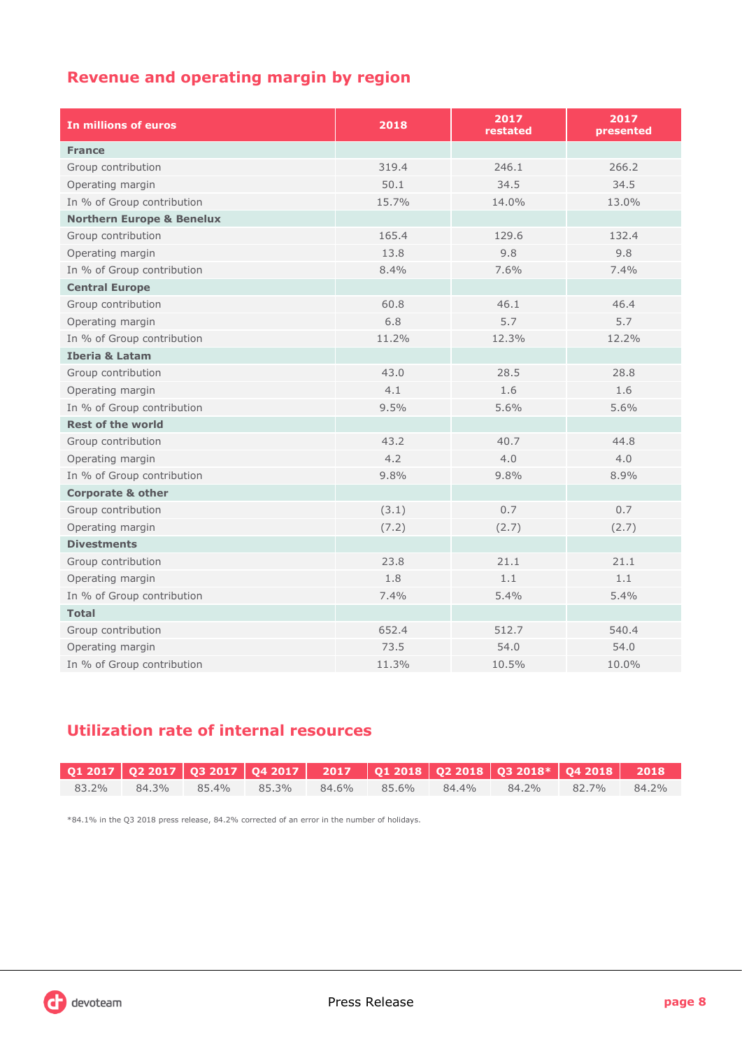## **Revenue and operating margin by region**

| In millions of euros                 | 2018  | 2017<br>restated | 2017<br>presented |
|--------------------------------------|-------|------------------|-------------------|
| <b>France</b>                        |       |                  |                   |
| Group contribution                   | 319.4 | 246.1            | 266.2             |
| Operating margin                     | 50.1  | 34.5             | 34.5              |
| In % of Group contribution           | 15.7% | 14.0%            | 13.0%             |
| <b>Northern Europe &amp; Benelux</b> |       |                  |                   |
| Group contribution                   | 165.4 | 129.6            | 132.4             |
| Operating margin                     | 13.8  | 9.8              | 9.8               |
| In % of Group contribution           | 8.4%  | 7.6%             | 7.4%              |
| <b>Central Europe</b>                |       |                  |                   |
| Group contribution                   | 60.8  | 46.1             | 46.4              |
| Operating margin                     | 6.8   | 5.7              | 5.7               |
| In % of Group contribution           | 11.2% | 12.3%            | 12.2%             |
| <b>Iberia &amp; Latam</b>            |       |                  |                   |
| Group contribution                   | 43.0  | 28.5             | 28.8              |
| Operating margin                     | 4.1   | 1.6              | 1.6               |
| In % of Group contribution           | 9.5%  | 5.6%             | 5.6%              |
| <b>Rest of the world</b>             |       |                  |                   |
| Group contribution                   | 43.2  | 40.7             | 44.8              |
| Operating margin                     | 4.2   | 4.0              | 4.0               |
| In % of Group contribution           | 9.8%  | 9.8%             | 8.9%              |
| <b>Corporate &amp; other</b>         |       |                  |                   |
| Group contribution                   | (3.1) | 0.7              | 0.7               |
| Operating margin                     | (7.2) | (2.7)            | (2.7)             |
| <b>Divestments</b>                   |       |                  |                   |
| Group contribution                   | 23.8  | 21.1             | 21.1              |
| Operating margin                     | 1.8   | 1.1              | 1.1               |
| In % of Group contribution           | 7.4%  | 5.4%             | 5.4%              |
| <b>Total</b>                         |       |                  |                   |
| Group contribution                   | 652.4 | 512.7            | 540.4             |
| Operating margin                     | 73.5  | 54.0             | 54.0              |
| In % of Group contribution           | 11.3% | 10.5%            | 10.0%             |

## **Utilization rate of internal resources**

|          |  |  |                                     | Q1 2017   Q2 2017   Q3 2017   Q4 2017     2017     Q1 2018   Q2 2018   Q3 2018*   Q4 2018      2018 \ |  |
|----------|--|--|-------------------------------------|-------------------------------------------------------------------------------------------------------|--|
| $83.2\%$ |  |  | 84.3% 85.4% 85.3% 84.6% 85.6% 84.4% | 84.2% 82.7% 84.2%                                                                                     |  |

\*84.1% in the Q3 2018 press release, 84.2% corrected of an error in the number of holidays.

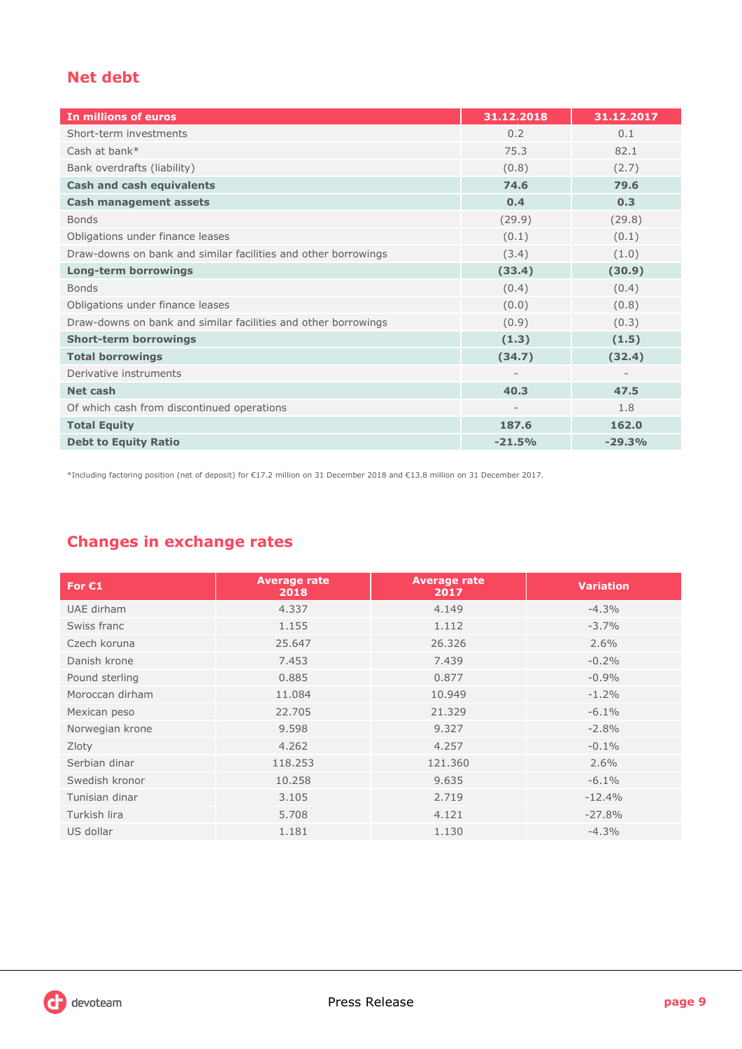## **Net debt**

| In millions of euros                                           | 31.12.2018 | 31.12.2017 |
|----------------------------------------------------------------|------------|------------|
| Short-term investments                                         | 0.2        | 0.1        |
| Cash at bank*                                                  | 75.3       | 82.1       |
| Bank overdrafts (liability)                                    | (0.8)      | (2.7)      |
| <b>Cash and cash equivalents</b>                               | 74.6       | 79.6       |
| <b>Cash management assets</b>                                  | 0.4        | 0.3        |
| <b>Bonds</b>                                                   | (29.9)     | (29.8)     |
| Obligations under finance leases                               | (0.1)      | (0.1)      |
| Draw-downs on bank and similar facilities and other borrowings | (3.4)      | (1.0)      |
| <b>Long-term borrowings</b>                                    | (33.4)     | (30.9)     |
| <b>Bonds</b>                                                   | (0.4)      | (0.4)      |
| Obligations under finance leases                               | (0.0)      | (0.8)      |
| Draw-downs on bank and similar facilities and other borrowings | (0.9)      | (0.3)      |
| <b>Short-term borrowings</b>                                   | (1.3)      | (1.5)      |
| <b>Total borrowings</b>                                        | (34.7)     | (32.4)     |
| Derivative instruments                                         |            |            |
| Net cash                                                       | 40.3       | 47.5       |
| Of which cash from discontinued operations                     |            | 1.8        |
| <b>Total Equity</b>                                            | 187.6      | 162.0      |
| <b>Debt to Equity Ratio</b>                                    | $-21.5%$   | $-29.3%$   |

\*Including factoring position (net of deposit) for €17.2 million on 31 December 2018 and €13.8 million on 31 December 2017.

## **Changes in exchange rates**

| For $C1$        | <b>Average rate</b><br>2018 | <b>Average rate</b><br>2017 | <b>Variation</b> |
|-----------------|-----------------------------|-----------------------------|------------------|
| UAE dirham      | 4.337                       | 4.149                       | $-4.3%$          |
| Swiss franc     | 1.155                       | 1.112                       | $-3.7%$          |
| Czech koruna    | 25.647                      | 26.326                      | 2.6%             |
| Danish krone    | 7.453                       | 7.439                       | $-0.2%$          |
| Pound sterling  | 0.885                       | 0.877                       | $-0.9%$          |
| Moroccan dirham | 11.084                      | 10.949                      | $-1.2%$          |
| Mexican peso    | 22.705                      | 21.329                      | $-6.1\%$         |
| Norwegian krone | 9.598                       | 9.327                       | $-2.8%$          |
| Zloty           | 4.262                       | 4.257                       | $-0.1\%$         |
| Serbian dinar   | 118.253                     | 121.360                     | 2.6%             |
| Swedish kronor  | 10.258                      | 9.635                       | $-6.1\%$         |
| Tunisian dinar  | 3.105                       | 2.719                       | $-12.4%$         |
| Turkish lira    | 5.708                       | 4.121                       | $-27.8%$         |
| US dollar       | 1.181                       | 1.130                       | $-4.3%$          |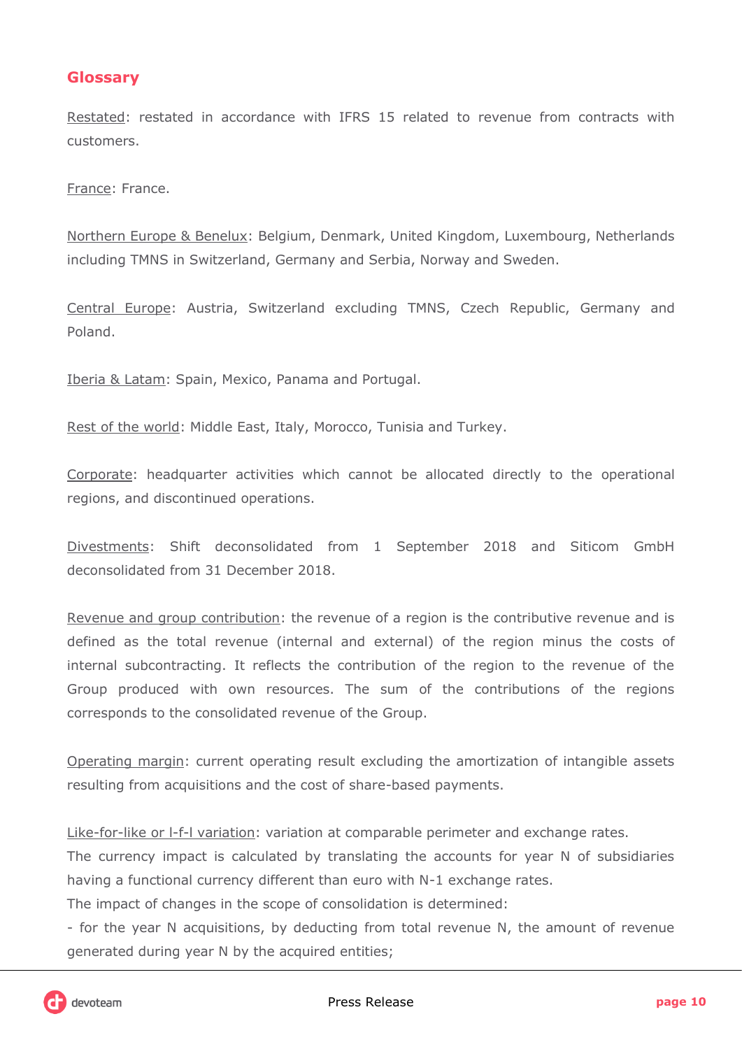### **Glossary**

Restated: restated in accordance with IFRS 15 related to revenue from contracts with customers.

France: France.

Northern Europe & Benelux: Belgium, Denmark, United Kingdom, Luxembourg, Netherlands including TMNS in Switzerland, Germany and Serbia, Norway and Sweden.

Central Europe: Austria, Switzerland excluding TMNS, Czech Republic, Germany and Poland.

Iberia & Latam: Spain, Mexico, Panama and Portugal.

Rest of the world: Middle East, Italy, Morocco, Tunisia and Turkey.

Corporate: headquarter activities which cannot be allocated directly to the operational regions, and discontinued operations.

Divestments: Shift deconsolidated from 1 September 2018 and Siticom GmbH deconsolidated from 31 December 2018.

Revenue and group contribution: the revenue of a region is the contributive revenue and is defined as the total revenue (internal and external) of the region minus the costs of internal subcontracting. It reflects the contribution of the region to the revenue of the Group produced with own resources. The sum of the contributions of the regions corresponds to the consolidated revenue of the Group.

Operating margin: current operating result excluding the amortization of intangible assets resulting from acquisitions and the cost of share-based payments.

Like-for-like or l-f-l variation: variation at comparable perimeter and exchange rates.

The currency impact is calculated by translating the accounts for year N of subsidiaries having a functional currency different than euro with N-1 exchange rates.

The impact of changes in the scope of consolidation is determined:

- for the year N acquisitions, by deducting from total revenue N, the amount of revenue generated during year N by the acquired entities;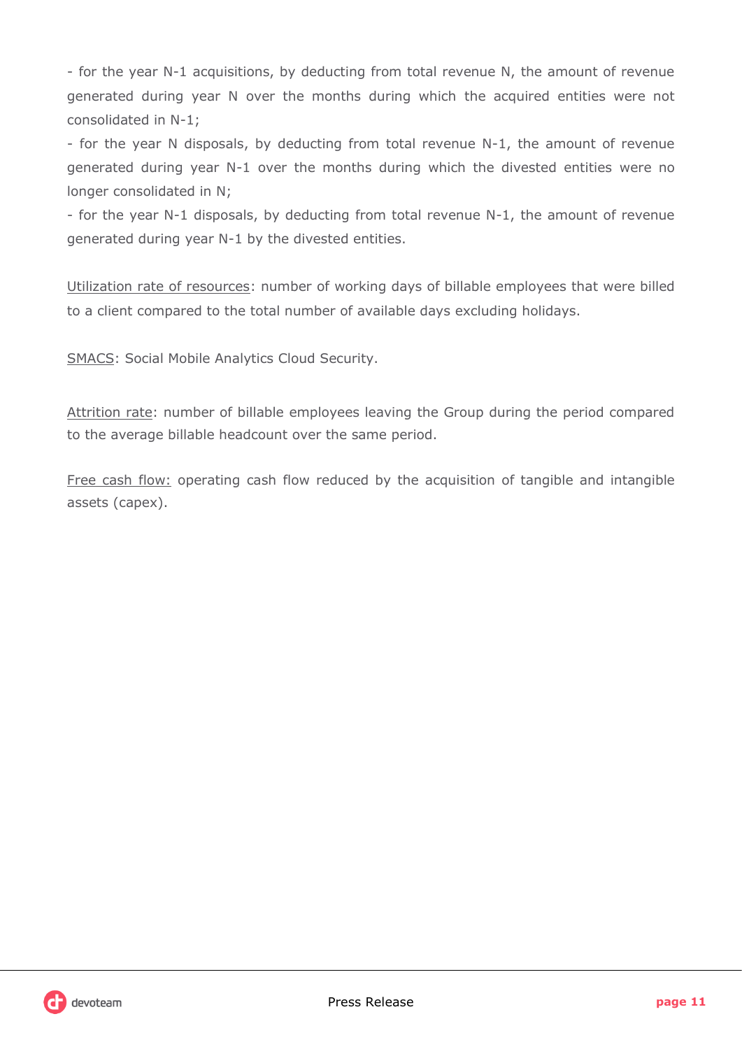- for the year N-1 acquisitions, by deducting from total revenue N, the amount of revenue generated during year N over the months during which the acquired entities were not consolidated in N-1;

- for the year N disposals, by deducting from total revenue N-1, the amount of revenue generated during year N-1 over the months during which the divested entities were no longer consolidated in N;

- for the year N-1 disposals, by deducting from total revenue N-1, the amount of revenue generated during year N-1 by the divested entities.

Utilization rate of resources: number of working days of billable employees that were billed to a client compared to the total number of available days excluding holidays.

SMACS: Social Mobile Analytics Cloud Security.

Attrition rate: number of billable employees leaving the Group during the period compared to the average billable headcount over the same period.

Free cash flow: operating cash flow reduced by the acquisition of tangible and intangible assets (capex).